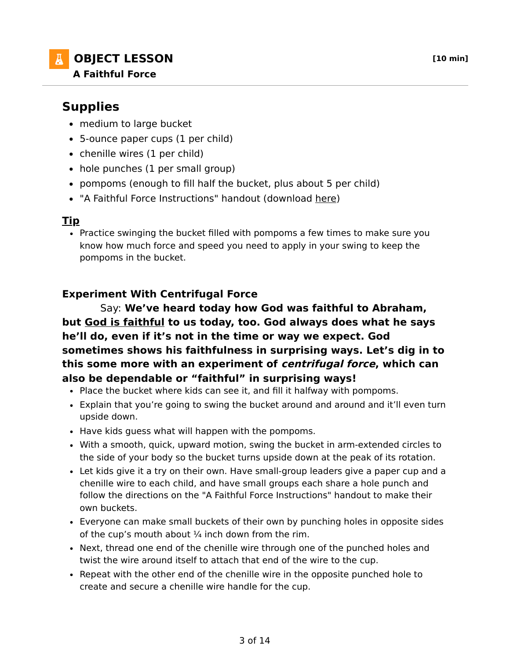## **A** OBJECT LESSON *[10 min]* **A Faithful Force**

# **Supplies**

- medium to large bucket
- 5-ounce paper cups (1 per child)
- chenille wires (1 per child)
- hole punches (1 per small group)
- pompoms (enough to fill half the bucket, plus about 5 per child)
- "A Faithful Force Instructions" handout (download here)

#### **Tip**

Practice swinging the bucket filled with pompoms a few times to make sure you know how much force and speed you need to apply in your swing to keep the pompoms in the bucket.

## **Experiment With Centrifugal Force**

 Say: **We've heard today how God was faithful to Abraham, but God is faithful to us today, too. God always does what he says he'll do, even if it's not in the time or way we expect. God sometimes shows his faithfulness in surprising ways. Let's dig in to this some more with an experiment of centrifugal force, which can also be dependable or "faithful" in surprising ways!**

- Place the bucket where kids can see it, and fill it halfway with pompoms.
- Explain that you're going to swing the bucket around and around and it'll even turn upside down.
- Have kids guess what will happen with the pompoms.
- With a smooth, quick, upward motion, swing the bucket in arm-extended circles to the side of your body so the bucket turns upside down at the peak of its rotation.
- Let kids give it a try on their own. Have small-group leaders give a paper cup and a chenille wire to each child, and have small groups each share a hole punch and follow the directions on the "A Faithful Force Instructions" handout to make their own buckets.
- Everyone can make small buckets of their own by punching holes in opposite sides of the cup's mouth about  $\frac{1}{4}$  inch down from the rim.
- Next, thread one end of the chenille wire through one of the punched holes and twist the wire around itself to attach that end of the wire to the cup.
- Repeat with the other end of the chenille wire in the opposite punched hole to create and secure a chenille wire handle for the cup.